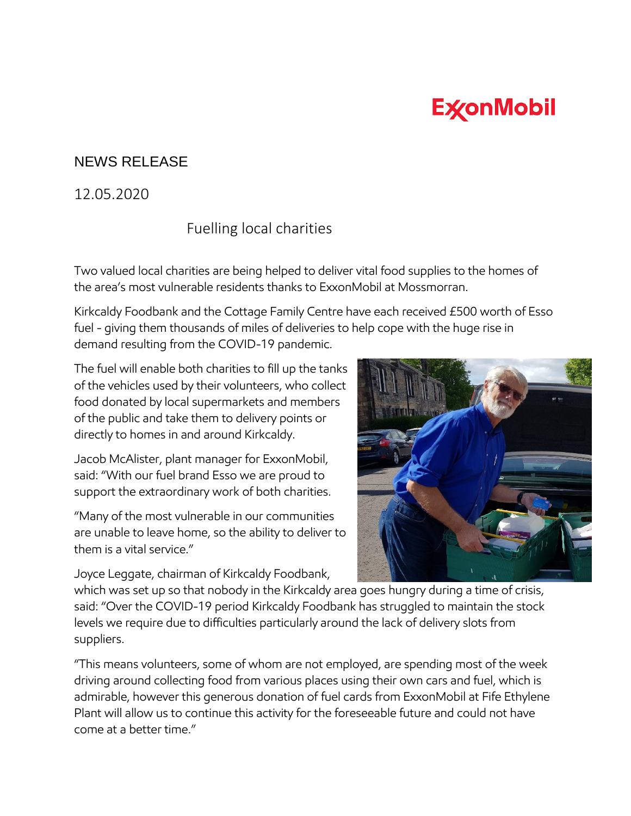## **ExconMobil**

## NEWS RELEASE

## 12.05.2020

## Fuelling local charities

Two valued local charities are being helped to deliver vital food supplies to the homes of the area's most vulnerable residents thanks to ExxonMobil at Mossmorran.

Kirkcaldy Foodbank and the Cottage Family Centre have each received £500 worth of Esso fuel - giving them thousands of miles of deliveries to help cope with the huge rise in demand resulting from the COVID-19 pandemic.

The fuel will enable both charities to fill up the tanks of the vehicles used by their volunteers, who collect food donated by local supermarkets and members of the public and take them to delivery points or directly to homes in and around Kirkcaldy.

Jacob McAlister, plant manager for ExxonMobil, said: "With our fuel brand Esso we are proud to support the extraordinary work of both charities.

"Many of the most vulnerable in our communities are unable to leave home, so the ability to deliver to them is a vital service."

Joyce Leggate, chairman of Kirkcaldy Foodbank,



which was set up so that nobody in the Kirkcaldy area goes hungry during a time of crisis, said: "Over the COVID-19 period Kirkcaldy Foodbank has struggled to maintain the stock levels we require due to difficulties particularly around the lack of delivery slots from suppliers.

"This means volunteers, some of whom are not employed, are spending most of the week driving around collecting food from various places using their own cars and fuel, which is admirable, however this generous donation of fuel cards from ExxonMobil at Fife Ethylene Plant will allow us to continue this activity for the foreseeable future and could not have come at a better time."